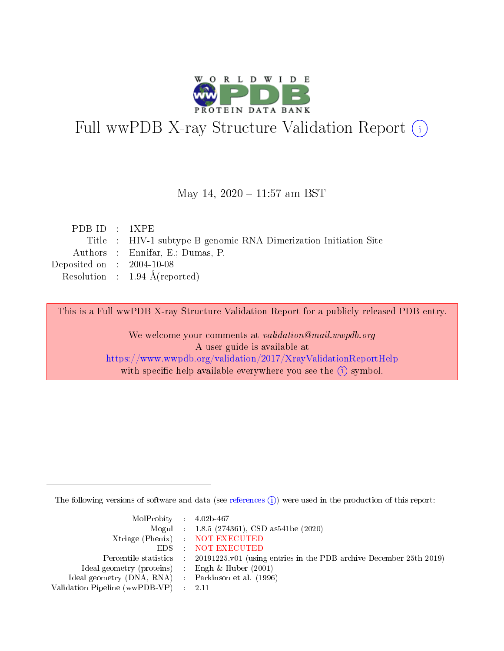

# Full wwPDB X-ray Structure Validation Report (i)

#### May 14, 2020 - 11:57 am BST

| PDB ID : $1XPE$                      |                                                                  |
|--------------------------------------|------------------------------------------------------------------|
|                                      | Title : HIV-1 subtype B genomic RNA Dimerization Initiation Site |
|                                      | Authors : Ennifar, E.; Dumas, P.                                 |
| Deposited on $\therefore$ 2004-10-08 |                                                                  |
|                                      | Resolution : $1.94 \text{ Å}$ (reported)                         |

This is a Full wwPDB X-ray Structure Validation Report for a publicly released PDB entry.

We welcome your comments at validation@mail.wwpdb.org A user guide is available at <https://www.wwpdb.org/validation/2017/XrayValidationReportHelp> with specific help available everywhere you see the  $(i)$  symbol.

The following versions of software and data (see [references](https://www.wwpdb.org/validation/2017/XrayValidationReportHelp#references)  $(i)$ ) were used in the production of this report:

| $MolProbability$ 4.02b-467                          |                                                                                            |
|-----------------------------------------------------|--------------------------------------------------------------------------------------------|
|                                                     | Mogul : $1.8.5$ (274361), CSD as 541be (2020)                                              |
|                                                     | Xtriage (Phenix) NOT EXECUTED                                                              |
|                                                     | EDS NOT EXECUTED                                                                           |
|                                                     | Percentile statistics : 20191225.v01 (using entries in the PDB archive December 25th 2019) |
| Ideal geometry (proteins) :                         | Engh & Huber $(2001)$                                                                      |
| Ideal geometry (DNA, RNA) : Parkinson et al. (1996) |                                                                                            |
| Validation Pipeline (wwPDB-VP)                      | - 2.11                                                                                     |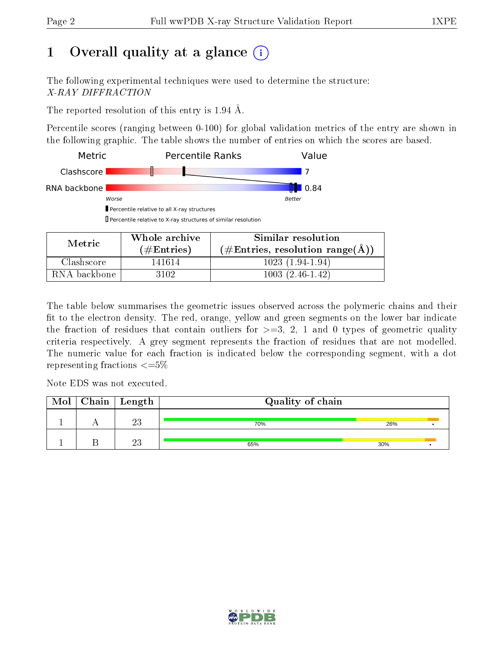# 1 [O](https://www.wwpdb.org/validation/2017/XrayValidationReportHelp#overall_quality)verall quality at a glance  $(i)$

The following experimental techniques were used to determine the structure: X-RAY DIFFRACTION

The reported resolution of this entry is 1.94 Å.

Percentile scores (ranging between 0-100) for global validation metrics of the entry are shown in the following graphic. The table shows the number of entries on which the scores are based.



| Metric       | Whole archive        | Similar resolution                 |
|--------------|----------------------|------------------------------------|
|              | $(\#\text{Entries})$ | $(\#Entries, resolution range(A))$ |
| Clashscore   | 141614               | $1023(1.94-1.94)$                  |
| RNA backbone | 3102.                | $1003(2.46-1.42)$                  |

The table below summarises the geometric issues observed across the polymeric chains and their fit to the electron density. The red, orange, yellow and green segments on the lower bar indicate the fraction of residues that contain outliers for  $\geq=3$ , 2, 1 and 0 types of geometric quality criteria respectively. A grey segment represents the fraction of residues that are not modelled. The numeric value for each fraction is indicated below the corresponding segment, with a dot representing fractions  $\leq=5\%$ 

Note EDS was not executed.

| Mol | $Chain \  Length$ | Quality of chain |     |  |
|-----|-------------------|------------------|-----|--|
|     | ററ<br>دے          | 70%              | 26% |  |
|     | ດດ                | 65%              | 30% |  |

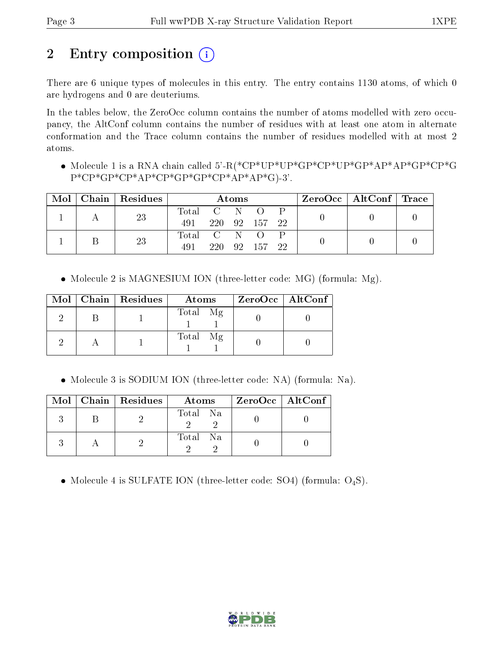# 2 Entry composition (i)

There are 6 unique types of molecules in this entry. The entry contains 1130 atoms, of which 0 are hydrogens and 0 are deuteriums.

In the tables below, the ZeroOcc column contains the number of atoms modelled with zero occupancy, the AltConf column contains the number of residues with at least one atom in alternate conformation and the Trace column contains the number of residues modelled with at most 2 atoms.

 Molecule 1 is a RNA chain called 5'-R(\*CP\*UP\*UP\*GP\*CP\*UP\*GP\*AP\*AP\*GP\*CP\*G P\*CP\*GP\*CP\*AP\*CP\*GP\*GP\*CP\*AP\*AP\*G)-3'.

| Mol |    | Chain   Residues | Atoms       |  |            |                  |  |  | $ZeroOcc \mid AltConf \mid Trace$ |  |
|-----|----|------------------|-------------|--|------------|------------------|--|--|-----------------------------------|--|
|     |    | 23               | Total C N   |  |            | $\left( \right)$ |  |  |                                   |  |
|     |    |                  | 491         |  |            | 220 92 157 22    |  |  |                                   |  |
|     |    |                  | Total C N O |  |            |                  |  |  |                                   |  |
|     | 23 | 491              |             |  | 220 92 157 | 22               |  |  |                                   |  |

• Molecule 2 is MAGNESIUM ION (three-letter code: MG) (formula: Mg).

|  | Mol   Chain   Residues | Atoms    | $ZeroOcc \   \$ AltConf |
|--|------------------------|----------|-------------------------|
|  |                        | Total Mg |                         |
|  |                        | Total Mg |                         |

Molecule 3 is SODIUM ION (three-letter code: NA) (formula: Na).

|  | $Mol$   Chain   Residues | Atoms    | $ZeroOcc$   AltConf |
|--|--------------------------|----------|---------------------|
|  |                          | Total Na |                     |
|  |                          | Total Na |                     |

• Molecule 4 is SULFATE ION (three-letter code: SO4) (formula:  $O_4S$ ).

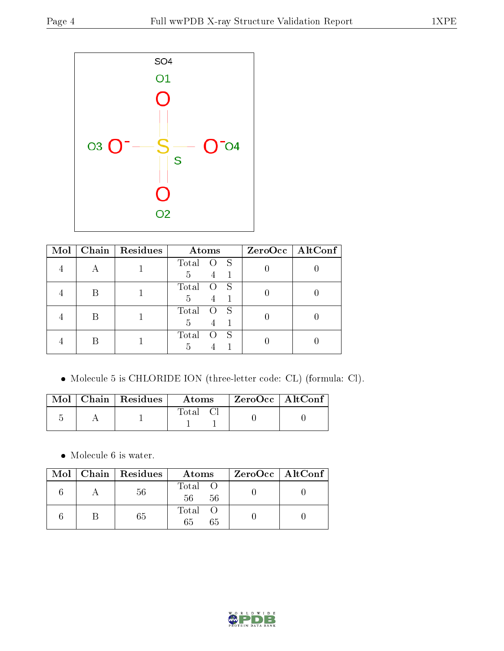

| Mol |   | Chain   $Residues$ | Atoms                            | ZeroOcc   AltConf |
|-----|---|--------------------|----------------------------------|-------------------|
|     | Н |                    | Total O S                        |                   |
|     |   |                    | $4 -$<br>5                       |                   |
|     |   |                    | Total<br>$\overline{O}$ S        |                   |
|     |   |                    | 5<br>4                           |                   |
|     |   |                    | Total<br>O S                     |                   |
|     |   |                    | 5<br>$\overline{4}$              |                   |
|     |   |                    | Total<br>- S<br>$\left( \right)$ |                   |
|     |   |                    | 5                                |                   |

Molecule 5 is CHLORIDE ION (three-letter code: CL) (formula: Cl).

|  | Mol   Chain   Residues | Atoms | ZeroOcc   AltConf |  |
|--|------------------------|-------|-------------------|--|
|  |                        | Total |                   |  |

 $\bullet\,$  Molecule 6 is water.

|  | Mol   Chain   Residues | Atoms               | $ZeroOcc \   \$ AltConf |
|--|------------------------|---------------------|-------------------------|
|  | 56                     | Total O<br>56<br>56 |                         |
|  | 65                     | Total O<br>65<br>65 |                         |

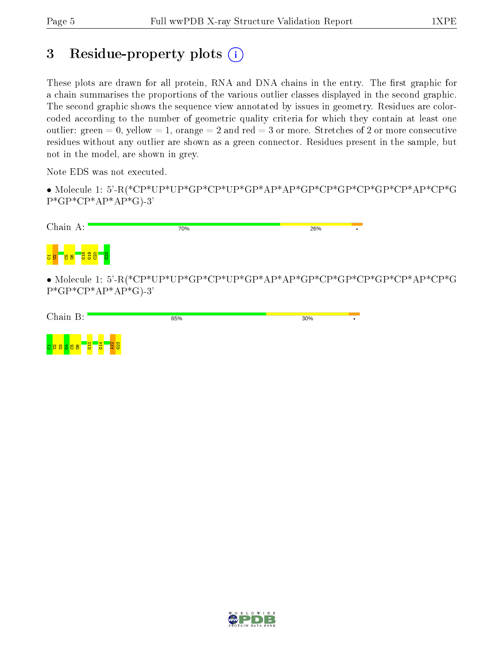# 3 Residue-property plots  $(i)$

These plots are drawn for all protein, RNA and DNA chains in the entry. The first graphic for a chain summarises the proportions of the various outlier classes displayed in the second graphic. The second graphic shows the sequence view annotated by issues in geometry. Residues are colorcoded according to the number of geometric quality criteria for which they contain at least one outlier: green  $= 0$ , yellow  $= 1$ , orange  $= 2$  and red  $= 3$  or more. Stretches of 2 or more consecutive residues without any outlier are shown as a green connector. Residues present in the sample, but not in the model, are shown in grey.

Note EDS was not executed.

• Molecule 1: 5'-R(\*CP\*UP\*UP\*GP\*CP\*UP\*GP\*AP\*AP\*GP\*CP\*GP\*CP\*GP\*CP\*AP\*CP\*G  $P*GP*CP*AP*AP*GP*G$ 

| Chain A:                          | 70%                                                           | 26% |  |
|-----------------------------------|---------------------------------------------------------------|-----|--|
| <mark>ភូមិ ខេន ដូដូន្យ ន</mark> ូ |                                                               |     |  |
|                                   | • Molecule 1: 5'-R(*CP*UP*UP*CP*CP*UP*GP*AP*AP*CP*CP*CP*CP*CP |     |  |

 ${}^*\text{GP*CP*AP*CP*GP}$ P\*GP\*CP\*AP\*AP\*G)-3'

| Chain B:                                   | 65%     | 30% |  |
|--------------------------------------------|---------|-----|--|
| $\sqrt{4}$<br>$\circ$<br>58<br>Н<br>공<br>ö | ത<br>일양 |     |  |

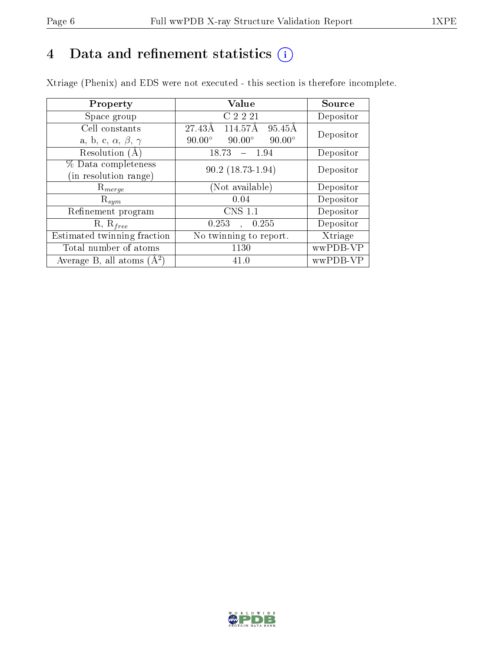# 4 Data and refinement statistics  $(i)$

Xtriage (Phenix) and EDS were not executed - this section is therefore incomplete.

| Property                               | Value                                           | <b>Source</b> |  |
|----------------------------------------|-------------------------------------------------|---------------|--|
| Space group                            | C 2 2 21                                        | Depositor     |  |
| Cell constants                         | 114.57Å<br>$95.45\text{\AA}$<br>27.43Å          | Depositor     |  |
| a, b, c, $\alpha$ , $\beta$ , $\gamma$ | $90.00^\circ$<br>$90.00^\circ$<br>$90.00^\circ$ |               |  |
| Resolution (A)                         | 18.73<br>$-1.94$                                | Depositor     |  |
| % Data completeness                    | $90.2(18.73-1.94)$                              | Depositor     |  |
| (in resolution range)                  |                                                 |               |  |
| $R_{merge}$                            | (Not available)                                 | Depositor     |  |
| $\mathrm{R}_{sym}$                     | 0.04                                            | Depositor     |  |
| Refinement program                     | <b>CNS 1.1</b>                                  | Depositor     |  |
| $R, R_{free}$                          | 0.253<br>0.255<br>$\mathbf{A}$                  | Depositor     |  |
| Estimated twinning fraction            | No twinning to report.                          | Xtriage       |  |
| Total number of atoms                  | 1130                                            | wwPDB-VP      |  |
| Average B, all atoms $(A^2)$           | 41.0                                            | wwPDB-VP      |  |

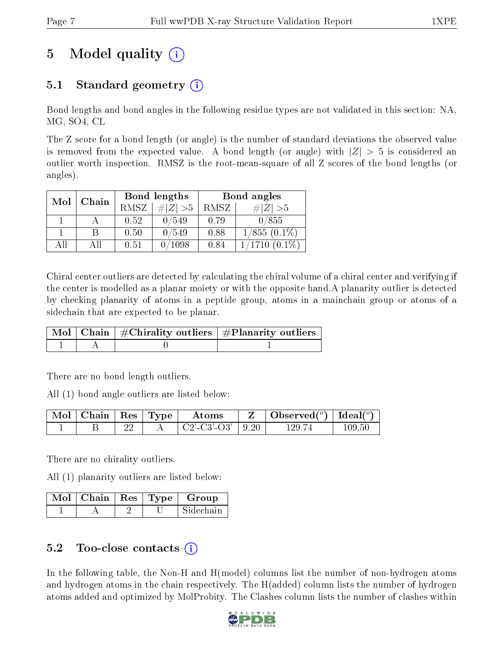# 5 Model quality  $(i)$

# 5.1 Standard geometry  $(i)$

Bond lengths and bond angles in the following residue types are not validated in this section: NA, MG, SO4, CL

The Z score for a bond length (or angle) is the number of standard deviations the observed value is removed from the expected value. A bond length (or angle) with  $|Z| > 5$  is considered an outlier worth inspection. RMSZ is the root-mean-square of all Z scores of the bond lengths (or angles).

| Mol | Chain |      | Bond lengths    | Bond angles |                         |  |
|-----|-------|------|-----------------|-------------|-------------------------|--|
|     |       | RMSZ | # $ Z  > 5$     | RMSZ        | $\# Z  > 5$             |  |
|     |       | 0.52 | 0/549           | 0.79        | 0/855                   |  |
|     | В     | 0.50 | 0/549           | 0.88        | $1/855(0.1\%)$          |  |
| AΠ  | ΑH    | 0.51 | $^{\prime}1098$ | 0.84        | $^{\prime}1710~(0.1\%)$ |  |

Chiral center outliers are detected by calculating the chiral volume of a chiral center and verifying if the center is modelled as a planar moiety or with the opposite hand.A planarity outlier is detected by checking planarity of atoms in a peptide group, atoms in a mainchain group or atoms of a sidechain that are expected to be planar.

|  | $\mid$ Mol $\mid$ Chain $\mid$ #Chirality outliers $\mid$ #Planarity outliers $\mid$ |
|--|--------------------------------------------------------------------------------------|
|  |                                                                                      |

There are no bond length outliers.

All (1) bond angle outliers are listed below:

| $\parallel$ Mol $\parallel$ Chain $\parallel$ Res $\parallel$ Type $\parallel$ |  | Atoms                 | Observed( $^{\circ}$ )   Ideal( $^{\circ}$ ) |            |
|--------------------------------------------------------------------------------|--|-----------------------|----------------------------------------------|------------|
|                                                                                |  | $C2'$ -C3'-O3'   9.20 | 129.74                                       | $109.50\,$ |

There are no chirality outliers.

All (1) planarity outliers are listed below:

|  |  | $\mid$ Mol $\mid$ Chain $\mid$ Res $\mid$ Type $\mid$ Group |
|--|--|-------------------------------------------------------------|
|  |  | Sidechain                                                   |

## 5.2 Too-close contacts  $\overline{a}$

In the following table, the Non-H and H(model) columns list the number of non-hydrogen atoms and hydrogen atoms in the chain respectively. The H(added) column lists the number of hydrogen atoms added and optimized by MolProbity. The Clashes column lists the number of clashes within

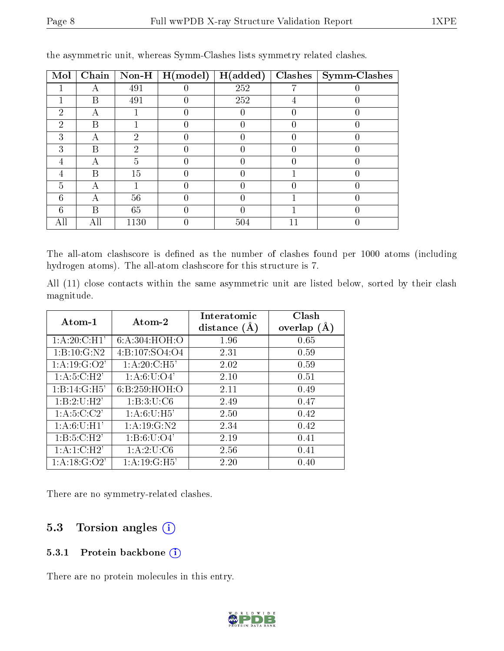| Mol            | Chain | $Non-H$ | H (model) | H(added) | Clashes | Symm-Clashes |
|----------------|-------|---------|-----------|----------|---------|--------------|
|                | А     | 491     |           | 252      |         |              |
|                | B     | 491     |           | 252      |         |              |
| $\mathfrak{D}$ | А     |         |           |          |         |              |
| 2              | B     |         |           |          |         |              |
| 3              | А     | 2       |           |          |         |              |
| 3              | В     | റ       | 0         |          |         |              |
| 4              | А     | 5       |           |          |         |              |
| 4              | B     | 15      |           |          |         |              |
| 5              | А     |         |           |          |         |              |
| 6              | А     | 56      |           |          |         |              |
| 6              | В     | 65      |           |          |         |              |
|                | All   | 1130    |           | 504      |         |              |

the asymmetric unit, whereas Symm-Clashes lists symmetry related clashes.

The all-atom clashscore is defined as the number of clashes found per 1000 atoms (including hydrogen atoms). The all-atom clashscore for this structure is 7.

All (11) close contacts within the same asymmetric unit are listed below, sorted by their clash magnitude.

| Atom-1          | Atom-2          | Interatomic<br>distance $(A)$ | Clash<br>overlap |
|-----------------|-----------------|-------------------------------|------------------|
|                 |                 |                               |                  |
| 1: A:20: C: H1' | 6: A:304: HOH:O | 1.96                          | 0.65             |
| 1: B: 10: G: N2 | 4:B:107:SO4:O4  | 2.31                          | 0.59             |
| 1:A:19:G:O2'    | 1: A:20: C: H5' | 2.02                          | 0.59             |
| 1: A:5: C:H2'   | 1: A:6: U:O4'   | 2.10                          | 0.51             |
| 1:B:14:G:H5'    | 6:B:259:HOH:O   | 2.11                          | 0.49             |
| 1:B:2:U:H2'     | 1: B:3: U: C6   | 2.49                          | 0.47             |
| 1: A:5:C:C2'    | 1: A:6: U:H5'   | 2.50                          | 0.42             |
| 1: A:6: U:H1'   | 1:A:19:G:N2     | 2.34                          | 0.42             |
| 1:B:5:C:H2'     | 1: B:6: U:O4'   | 2.19                          | 0.41             |
| 1: A:1:C:H2'    | 1:A:2:U:C6      | 2.56                          | 0.41             |
| 1:A:18:G:O2'    | 1: A: 19: G:H5' | 2.20                          | 0.40             |

There are no symmetry-related clashes.

### 5.3 Torsion angles  $(i)$

#### 5.3.1 Protein backbone (i)

There are no protein molecules in this entry.

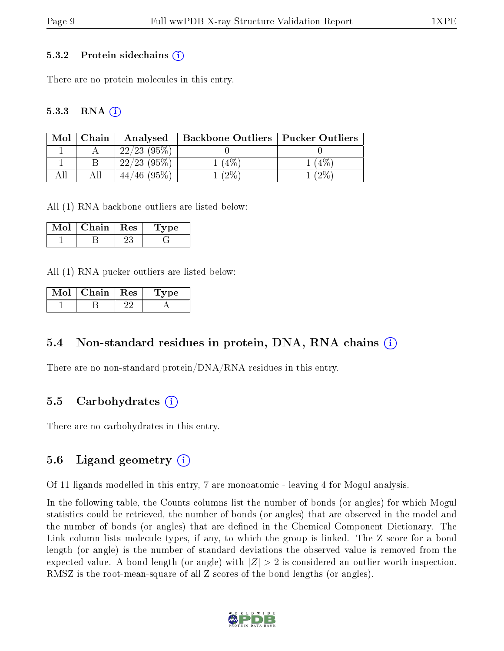#### 5.3.2 Protein sidechains  $(i)$

There are no protein molecules in this entry.

#### $5.3.3$  RNA  $(i)$

| Mol | Chain | Analysed       | <b>Backbone Outliers   Pucker Outliers  </b> |       |
|-----|-------|----------------|----------------------------------------------|-------|
|     |       | $22/23$ (95\%) |                                              |       |
|     |       | $22/23$ (95\%) | $4\%$                                        | $4\%$ |
|     |       | $(95\%)$       | $2\%$                                        | $2\%$ |

All (1) RNA backbone outliers are listed below:

| Mol | Chain | $\perp$ Res | vpe |
|-----|-------|-------------|-----|
|     |       |             |     |

All (1) RNA pucker outliers are listed below:

| Mol | Chain   Res | Type |
|-----|-------------|------|
|     |             |      |

#### 5.4 Non-standard residues in protein, DNA, RNA chains (i)

There are no non-standard protein/DNA/RNA residues in this entry.

#### 5.5 Carbohydrates  $(i)$

There are no carbohydrates in this entry.

#### 5.6 Ligand geometry  $(i)$

Of 11 ligands modelled in this entry, 7 are monoatomic - leaving 4 for Mogul analysis.

In the following table, the Counts columns list the number of bonds (or angles) for which Mogul statistics could be retrieved, the number of bonds (or angles) that are observed in the model and the number of bonds (or angles) that are defined in the Chemical Component Dictionary. The Link column lists molecule types, if any, to which the group is linked. The Z score for a bond length (or angle) is the number of standard deviations the observed value is removed from the expected value. A bond length (or angle) with  $|Z| > 2$  is considered an outlier worth inspection. RMSZ is the root-mean-square of all Z scores of the bond lengths (or angles).

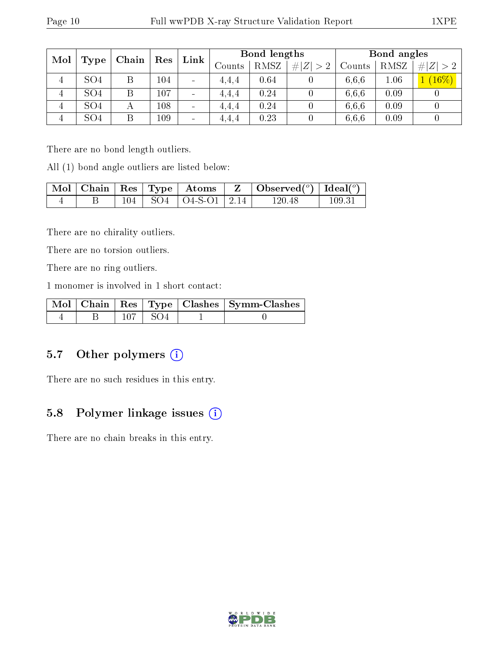| Mol            |                 |       | Res | Link                     | <b>Bond lengths</b> |      |  | Bond angles |      |         |  |  |  |        |      |             |        |      |          |
|----------------|-----------------|-------|-----|--------------------------|---------------------|------|--|-------------|------|---------|--|--|--|--------|------|-------------|--------|------|----------|
|                | Type            | Chain |     |                          |                     |      |  |             |      |         |  |  |  | Counts | RMSZ | # $ Z  > 2$ | Counts | RMSZ | # <br>>2 |
| $\overline{4}$ | SO <sub>4</sub> | Β     | 104 | $\blacksquare$           | 4.4.4               | 0.64 |  | 6.6.6       | 1.06 | $16\%)$ |  |  |  |        |      |             |        |      |          |
| 4              | SO <sub>4</sub> |       | 107 | $\overline{\phantom{a}}$ | 4,4,4               | 0.24 |  | 6.6.6       | 0.09 |         |  |  |  |        |      |             |        |      |          |
| $\overline{4}$ | SO <sub>4</sub> | А     | 108 | $\sim$                   | 4.4.4               | 0.24 |  | 6.6.6       | 0.09 |         |  |  |  |        |      |             |        |      |          |
| 4              | SO <sub>4</sub> |       | 109 | $\qquad \qquad$          | 4.4.4               | 0.23 |  | 6.6.6       | 0.09 |         |  |  |  |        |      |             |        |      |          |

There are no bond length outliers.

All (1) bond angle outliers are listed below:

|  |  |                              | $\mid$ Mol $\mid$ Chain $\mid$ Res $\mid$ Type $\mid$ Atoms $\mid$ Z $\mid$ Observed( <sup>o</sup> ) $\mid$ Ideal( <sup>o</sup> ) $\mid$ |        |
|--|--|------------------------------|------------------------------------------------------------------------------------------------------------------------------------------|--------|
|  |  | $104$   SO4   O4-S-O1   2.14 | 120.48                                                                                                                                   | 109.31 |

There are no chirality outliers.

There are no torsion outliers.

There are no ring outliers.

1 monomer is involved in 1 short contact:

|  |       | Mol   Chain   Res   Type   Clashes   Symm-Clashes |
|--|-------|---------------------------------------------------|
|  | 1 SO4 |                                                   |

### 5.7 [O](https://www.wwpdb.org/validation/2017/XrayValidationReportHelp#nonstandard_residues_and_ligands)ther polymers (i)

There are no such residues in this entry.

## 5.8 Polymer linkage issues (i)

There are no chain breaks in this entry.